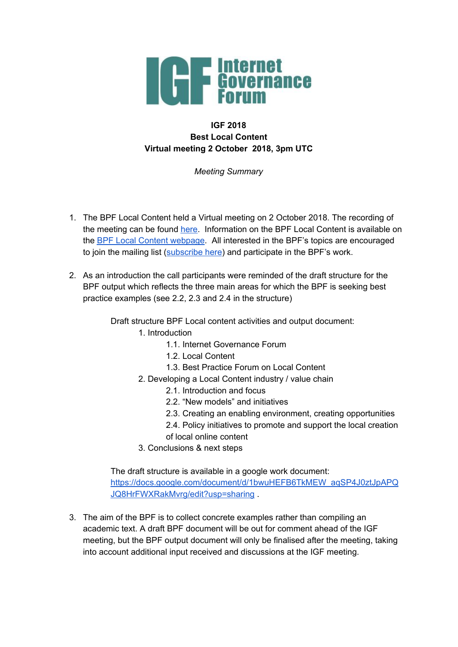

## **IGF 2018 Best Local Content Virtual meeting 2 October 2018, 3pm UTC**

*Meeting Summary*

- 1. The BPF Local Content held a Virtual meeting on 2 October 2018. The recording of the meeting can be found [here](https://intgovforum.webex.com/intgovforum/ldr.php?RCID=585008ddf77392114fc2ad6fc1abf194). Information on the BPF Local Content is available on the BPF Local Content [webpage](https://www.intgovforum.org/multilingual/content/bpf-local-content-0). All interested in the BPF's topics are encouraged to join the mailing list ([subscribe](https://intgovforum.org/mailman/listinfo/bpf-localcontent_intgovforum.org) here) and participate in the BPF's work.
- 2. As an introduction the call participants were reminded of the draft structure for the BPF output which reflects the three main areas for which the BPF is seeking best practice examples (see 2.2, 2.3 and 2.4 in the structure)

Draft structure BPF Local content activities and output document:

- 1. Introduction
	- 1.1. Internet Governance Forum
	- 1.2. Local Content
	- 1.3. Best Practice Forum on Local Content
- 2. Developing a Local Content industry / value chain
	- 2.1. Introduction and focus
	- 2.2. "New models" and initiatives
	- 2.3. Creating an enabling environment, creating opportunities
	- 2.4. Policy initiatives to promote and support the local creation of local online content
- 3. Conclusions & next steps

The draft structure is available in a google work document: [https://docs.google.com/document/d/1bwuHEFB6TkMEW\\_aqSP4J0ztJpAPQ](https://docs.google.com/document/d/1bwuHEFB6TkMEW_aqSP4J0ztJpAPQJQ8HrFWXRakMvrg/edit?usp=sharing) [JQ8HrFWXRakMvrg/edit?usp=sharing](https://docs.google.com/document/d/1bwuHEFB6TkMEW_aqSP4J0ztJpAPQJQ8HrFWXRakMvrg/edit?usp=sharing) .

3. The aim of the BPF is to collect concrete examples rather than compiling an academic text. A draft BPF document will be out for comment ahead of the IGF meeting, but the BPF output document will only be finalised after the meeting, taking into account additional input received and discussions at the IGF meeting.